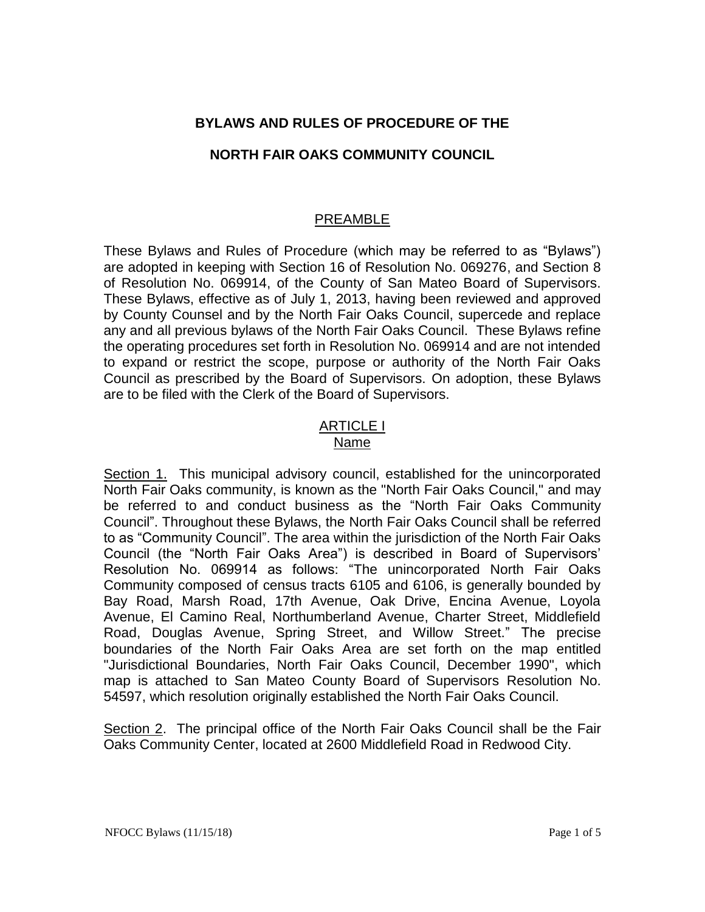# **BYLAWS AND RULES OF PROCEDURE OF THE**

## **NORTH FAIR OAKS COMMUNITY COUNCIL**

# PREAMBLE

These Bylaws and Rules of Procedure (which may be referred to as "Bylaws") are adopted in keeping with Section 16 of Resolution No. 069276, and Section 8 of Resolution No. 069914, of the County of San Mateo Board of Supervisors. These Bylaws, effective as of July 1, 2013, having been reviewed and approved by County Counsel and by the North Fair Oaks Council, supercede and replace any and all previous bylaws of the North Fair Oaks Council. These Bylaws refine the operating procedures set forth in Resolution No. 069914 and are not intended to expand or restrict the scope, purpose or authority of the North Fair Oaks Council as prescribed by the Board of Supervisors. On adoption, these Bylaws are to be filed with the Clerk of the Board of Supervisors.

### ARTICLE I Name

Section 1. This municipal advisory council, established for the unincorporated North Fair Oaks community, is known as the "North Fair Oaks Council," and may be referred to and conduct business as the "North Fair Oaks Community Council". Throughout these Bylaws, the North Fair Oaks Council shall be referred to as "Community Council". The area within the jurisdiction of the North Fair Oaks Council (the "North Fair Oaks Area") is described in Board of Supervisors' Resolution No. 069914 as follows: "The unincorporated North Fair Oaks Community composed of census tracts 6105 and 6106, is generally bounded by Bay Road, Marsh Road, 17th Avenue, Oak Drive, Encina Avenue, Loyola Avenue, El Camino Real, Northumberland Avenue, Charter Street, Middlefield Road, Douglas Avenue, Spring Street, and Willow Street." The precise boundaries of the North Fair Oaks Area are set forth on the map entitled "Jurisdictional Boundaries, North Fair Oaks Council, December 1990", which map is attached to San Mateo County Board of Supervisors Resolution No. 54597, which resolution originally established the North Fair Oaks Council.

Section 2. The principal office of the North Fair Oaks Council shall be the Fair Oaks Community Center, located at 2600 Middlefield Road in Redwood City.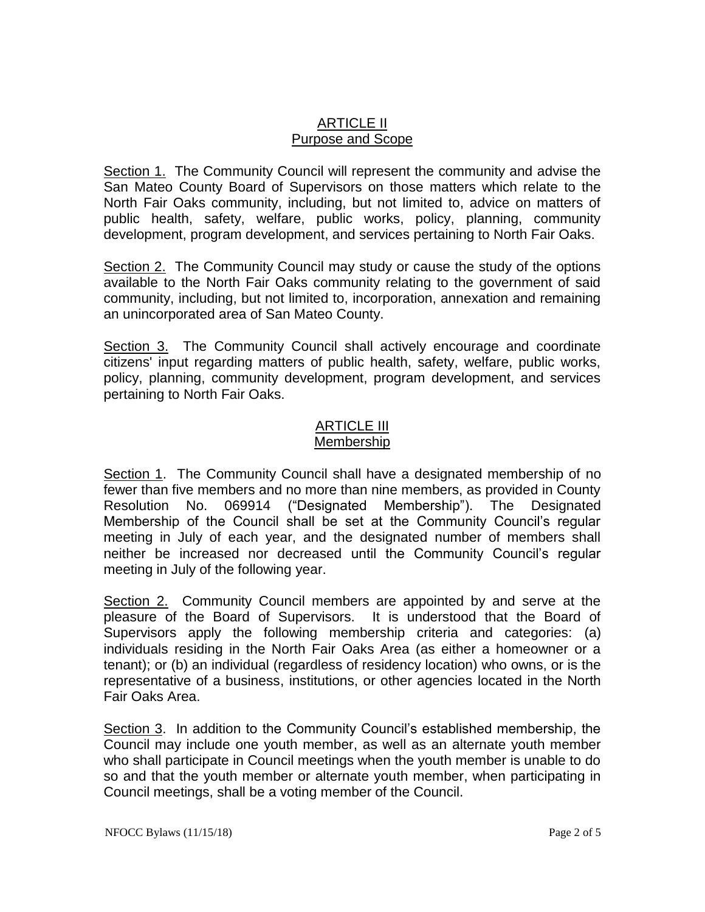# ARTICLE II Purpose and Scope

Section 1. The Community Council will represent the community and advise the San Mateo County Board of Supervisors on those matters which relate to the North Fair Oaks community, including, but not limited to, advice on matters of public health, safety, welfare, public works, policy, planning, community development, program development, and services pertaining to North Fair Oaks.

Section 2. The Community Council may study or cause the study of the options available to the North Fair Oaks community relating to the government of said community, including, but not limited to, incorporation, annexation and remaining an unincorporated area of San Mateo County.

Section 3. The Community Council shall actively encourage and coordinate citizens' input regarding matters of public health, safety, welfare, public works, policy, planning, community development, program development, and services pertaining to North Fair Oaks.

### ARTICLE III Membership

Section 1. The Community Council shall have a designated membership of no fewer than five members and no more than nine members, as provided in County Resolution No. 069914 ("Designated Membership"). The Designated Membership of the Council shall be set at the Community Council's regular meeting in July of each year, and the designated number of members shall neither be increased nor decreased until the Community Council's regular meeting in July of the following year.

Section 2. Community Council members are appointed by and serve at the pleasure of the Board of Supervisors. It is understood that the Board of Supervisors apply the following membership criteria and categories: (a) individuals residing in the North Fair Oaks Area (as either a homeowner or a tenant); or (b) an individual (regardless of residency location) who owns, or is the representative of a business, institutions, or other agencies located in the North Fair Oaks Area.

Section 3. In addition to the Community Council's established membership, the Council may include one youth member, as well as an alternate youth member who shall participate in Council meetings when the youth member is unable to do so and that the youth member or alternate youth member, when participating in Council meetings, shall be a voting member of the Council.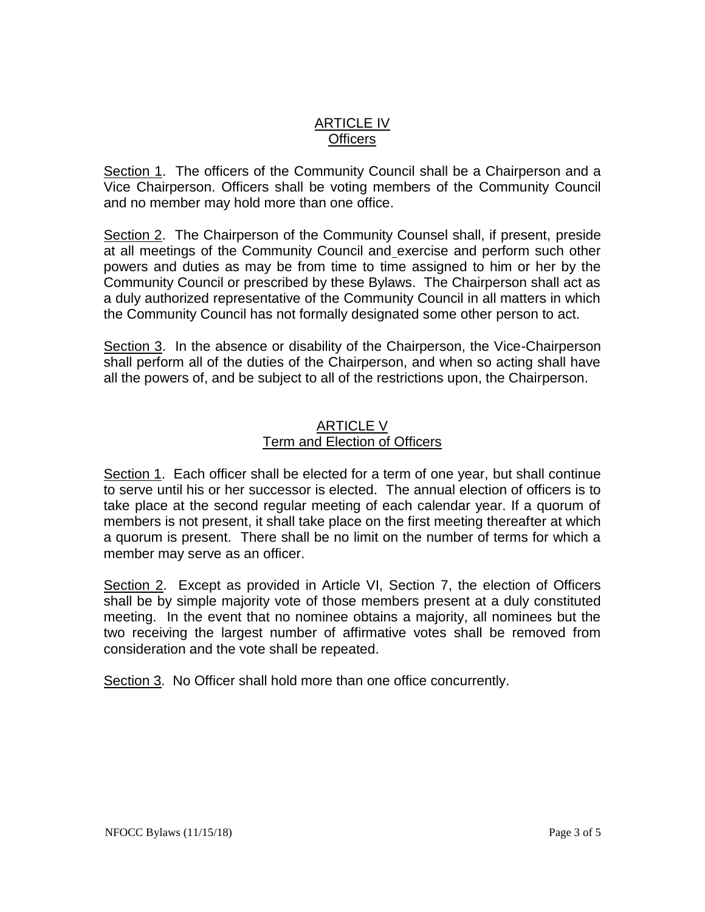# ARTICLE IV **Officers**

Section 1. The officers of the Community Council shall be a Chairperson and a Vice Chairperson. Officers shall be voting members of the Community Council and no member may hold more than one office.

Section 2. The Chairperson of the Community Counsel shall, if present, preside at all meetings of the Community Council and exercise and perform such other powers and duties as may be from time to time assigned to him or her by the Community Council or prescribed by these Bylaws. The Chairperson shall act as a duly authorized representative of the Community Council in all matters in which the Community Council has not formally designated some other person to act.

Section 3. In the absence or disability of the Chairperson, the Vice-Chairperson shall perform all of the duties of the Chairperson, and when so acting shall have all the powers of, and be subject to all of the restrictions upon, the Chairperson.

## ARTICLE V Term and Election of Officers

Section 1. Each officer shall be elected for a term of one year, but shall continue to serve until his or her successor is elected. The annual election of officers is to take place at the second regular meeting of each calendar year. If a quorum of members is not present, it shall take place on the first meeting thereafter at which a quorum is present. There shall be no limit on the number of terms for which a member may serve as an officer.

Section 2. Except as provided in Article VI, Section 7, the election of Officers shall be by simple majority vote of those members present at a duly constituted meeting. In the event that no nominee obtains a majority, all nominees but the two receiving the largest number of affirmative votes shall be removed from consideration and the vote shall be repeated.

Section 3. No Officer shall hold more than one office concurrently.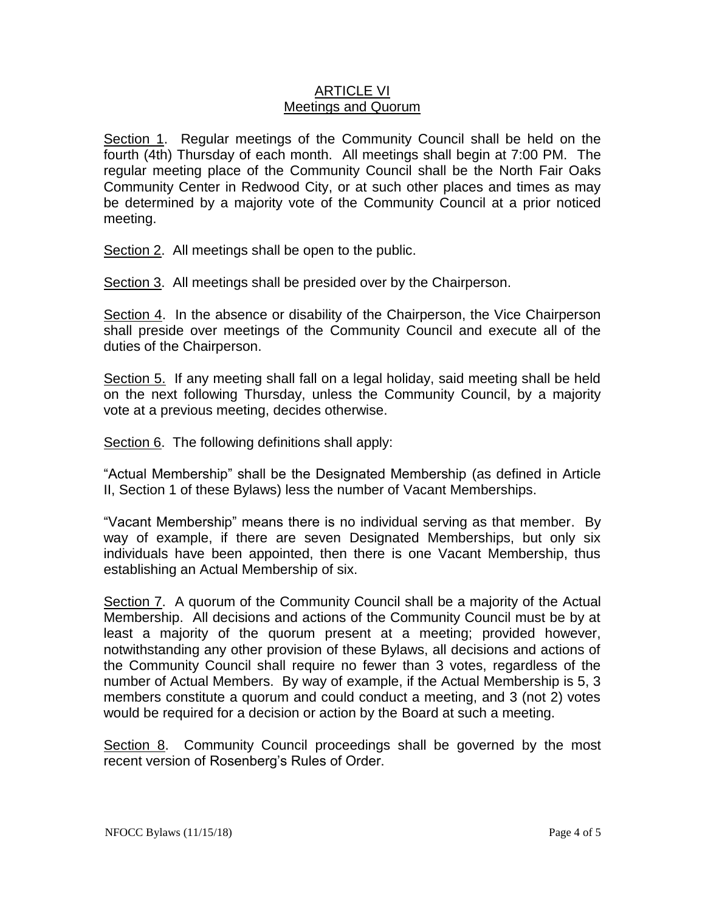### ARTICLE VI Meetings and Quorum

Section 1. Regular meetings of the Community Council shall be held on the fourth (4th) Thursday of each month. All meetings shall begin at 7:00 PM. The regular meeting place of the Community Council shall be the North Fair Oaks Community Center in Redwood City, or at such other places and times as may be determined by a majority vote of the Community Council at a prior noticed meeting.

Section 2. All meetings shall be open to the public.

Section 3. All meetings shall be presided over by the Chairperson.

Section 4. In the absence or disability of the Chairperson, the Vice Chairperson shall preside over meetings of the Community Council and execute all of the duties of the Chairperson.

Section 5. If any meeting shall fall on a legal holiday, said meeting shall be held on the next following Thursday, unless the Community Council, by a majority vote at a previous meeting, decides otherwise.

Section 6. The following definitions shall apply:

"Actual Membership" shall be the Designated Membership (as defined in Article II, Section 1 of these Bylaws) less the number of Vacant Memberships.

"Vacant Membership" means there is no individual serving as that member. By way of example, if there are seven Designated Memberships, but only six individuals have been appointed, then there is one Vacant Membership, thus establishing an Actual Membership of six.

Section 7. A quorum of the Community Council shall be a majority of the Actual Membership. All decisions and actions of the Community Council must be by at least a majority of the quorum present at a meeting; provided however, notwithstanding any other provision of these Bylaws, all decisions and actions of the Community Council shall require no fewer than 3 votes, regardless of the number of Actual Members. By way of example, if the Actual Membership is 5, 3 members constitute a quorum and could conduct a meeting, and 3 (not 2) votes would be required for a decision or action by the Board at such a meeting.

Section 8. Community Council proceedings shall be governed by the most recent version of Rosenberg's Rules of Order.